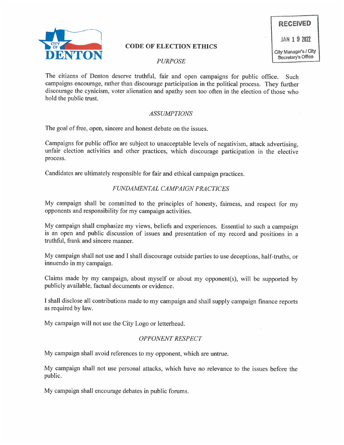

## CODE OF ELECTION ETHICS

# RECEIVED JAN 1 9 2022 City Manager's I CitY §ecretary's Office

The citizens of Denton deserve truthful, fair and open campaigns for public office. Such campaigns encourage, rather than discourage participation in the political process. They further discourage the cynicism, voter alienation and apathy seen too often in the election of those who hold the public trust.

#### ASSUMPTIONS

The goal of free, open, sincere and honest debate on the issues.

Campaigns for public office are subject to unacceptable levels of negativism, attack advertising, unfair election activities and other practices, which discourage participation in the elective process.

Candidates are ultimately responsible for fair and ethical campaign practices.

### FUNDAMENTAL CAMPAIGN PRACTICES

My campaign shall be committed to the principles of honesty, fairness, and respect for my opponents and responsibility for my campaign activities.

My campaign shall emphasize my views, beliefs and experiences. Essential to such a campaign is an open and public discussion of issues and presentation of my record and positions in a truthful, frank and sincere manner.

My campaign shall not use and I shall discourage outside parties to use deceptions, half-truths, or innuendo in my campaign.

Claims made by my campaign, about myself or about my opponent(s), will be supported by publicly available, factual documents or evidence.

I shall disclose all contributions made to my campaign and shall supply campaign finance reports as required by law.

My campaign will not use the City Logo or letterhead.

### OPPONENT RESPECT

My campaign shall avoid references to my opponent, which are untrue.

My campaign shall not use personal attacks, which have no relevance to the issues before the public.

My campaign shall encourage debates in public forums.